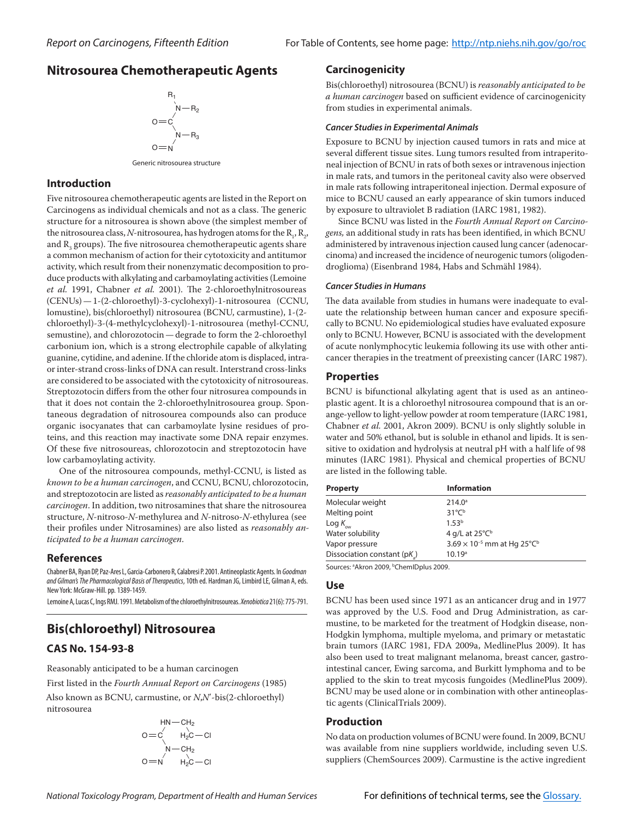# **Nitrosourea Chemotherapeutic Agents**



Generic nitrosourea structure

## **Introduction**

Five nitrosourea chemotherapeutic agents are listed in the Report on Carcinogens as individual chemicals and not as a class. The generic structure for a nitrosourea is shown above (the simplest member of the nitrosourea class,  $N$ -nitrosourea, has hydrogen atoms for the  $\mathrm{R}_{\scriptscriptstyle{1}}, \mathrm{R}_{\scriptscriptstyle{2}},$ and  $\mathrm{R}_{_{3}}$  groups). The five nitrosourea chemotherapeutic agents share a common mechanism of action for their cytotoxicity and antitumor activity, which result from their nonenzymatic decomposition to produce products with alkylating and carbamoylating activities (Lemoine *et al.* 1991, Chabner *et al.* 2001). The 2‑chloroethylnitrosoureas (CENUs)—1‑(2-chloroethyl)-3-cyclohexyl)-1-nitrosourea (CCNU, lomustine), bis(chloroethyl) nitrosourea (BCNU, carmustine), 1‑(2chloroethyl)-3-(4-methylcyclohexyl)-1-nitrosourea (methyl-CCNU, semustine), and chlorozotocin — degrade to form the 2-chloroethyl carbonium ion, which is a strong electrophile capable of alkylating guanine, cytidine, and adenine. If the chloride atom is displaced, intraor inter-strand cross-links of DNA can result. Interstrand cross-links are considered to be associated with the cytotoxicity of nitrosoureas. Streptozotocin differs from the other four nitrosurea compounds in that it does not contain the 2-chloroethylnitrosourea group. Spontaneous degradation of nitrosourea compounds also can produce organic isocyanates that can carbamoylate lysine residues of proteins, and this reaction may inactivate some DNA repair enzymes. Of these five nitrosoureas, chlorozotocin and streptozotocin have low carbamoylating activity.

One of the nitrosourea compounds, methyl-CCNU, is listed as *known to be a human carcinogen*, and CCNU, BCNU, chlorozotocin, and streptozotocin are listed as *reasonably anticipated to be a human carcinogen*. In addition, two nitrosamines that share the nitrosourea structure, *N*‑nitroso-*N*-methylurea and *N*‑nitroso-*N*-ethylurea (see their profiles under Nitrosamines) are also listed as *reasonably anticipated to be a human carcinogen*.

# **References**

Chabner BA, Ryan DP, Paz-Ares L, Garcia-Carbonero R, Calabresi P. 2001. Antineoplastic Agents. In *Goodman and Gilman's The Pharmacological Basis of Therapeutics*, 10th ed. Hardman JG, Limbird LE, Gilman A, eds. New York: McGraw-Hill.pp. 1389-1459.

Lemoine A, Lucas C, Ings RMJ. 1991. Metabolism of the chloroethylnitrosoureas. *Xenobiotica* 21(6): 775-791.

# **Bis(chloroethyl) Nitrosourea**

# **CAS No. 154-93-8**

Reasonably anticipated to be a human carcinogen

First listed in the *Fourth Annual Report on Carcinogens* (1985) Also known as BCNU, carmustine, or *N*,*N*′-bis(2-chloroethyl) nitrosourea

$$
NN-CH2
$$
  
\n
$$
O=C\begin{matrix}\nH_2C-CI_1 \\
N-CH_2 \\
N-CH_2\n\end{matrix}
$$
  
\n
$$
O=N\begin{matrix}\nH_1C-CI_2 \\
H_2C-CI_1\n\end{matrix}
$$

# **Carcinogenicity**

Bis(chloroethyl) nitrosourea (BCNU) is *reasonably anticipated to be a human carcinogen* based on sufficient evidence of carcinogenicity from studies in experimental animals.

### *Cancer Studies in Experimental Animals*

Exposure to BCNU by injection caused tumors in rats and mice at several different tissue sites. Lung tumors resulted from intraperitoneal injection of BCNU in rats of both sexes or intravenous injection in male rats, and tumors in the peritoneal cavity also were observed in male rats following intraperitoneal injection. Dermal exposure of mice to BCNU caused an early appearance of skin tumors induced by exposure to ultraviolet B radiation (IARC 1981, 1982).

Since BCNU was listed in the *Fourth Annual Report on Carcinogens,* an additional study in rats has been identified, in which BCNU administered by intravenous injection caused lung cancer (adenocarcinoma) and increased the incidence of neurogenic tumors (oligodendroglioma) (Eisenbrand 1984, Habs and Schmähl 1984).

### *Cancer Studies in Humans*

The data available from studies in humans were inadequate to evaluate the relationship between human cancer and exposure specifically to BCNU. No epidemiological studies have evaluated exposure only to BCNU. However, BCNU is associated with the development of acute nonlymphocytic leukemia following its use with other anticancer therapies in the treatment of preexisting cancer (IARC 1987).

## **Properties**

BCNU is bifunctional alkylating agent that is used as an antineoplastic agent. It is a chloroethyl nitrosourea compound that is an orange-yellow to light-yellow powder at room temperature (IARC 1981, Chabner *et al.* 2001, Akron 2009). BCNU is only slightly soluble in water and 50% ethanol, but is soluble in ethanol and lipids. It is sensitive to oxidation and hydrolysis at neutral pH with a half life of 98 minutes (IARC 1981). Physical and chemical properties of BCNU are listed in the following table.

| <b>Property</b>            | <b>Information</b>                                        |  |
|----------------------------|-----------------------------------------------------------|--|
| Molecular weight           | $214.0^{\circ}$                                           |  |
| Melting point              | $31^{\circ}C^{\circ}$                                     |  |
| Log $K_{_{\rm{ow}}}$       | 1.53 <sup>b</sup>                                         |  |
| Water solubility           | 4 g/L at $25^{\circ}C^{\circ}$                            |  |
| Vapor pressure             | 3.69 $\times$ 10 <sup>-5</sup> mm at Hg 25°C <sup>b</sup> |  |
| Dissociation constant (pK) | 10.19a                                                    |  |

Sources: <sup>a</sup>Akron 2009, <sup>b</sup>ChemIDplus 2009.

# **Use**

BCNU has been used since 1971 as an anticancer drug and in 1977 was approved by the U.S. Food and Drug Administration, as carmustine, to be marketed for the treatment of Hodgkin disease, non-Hodgkin lymphoma, multiple myeloma, and primary or metastatic brain tumors (IARC 1981, FDA 2009a, MedlinePlus 2009). It has also been used to treat malignant melanoma, breast cancer, gastrointestinal cancer, Ewing sarcoma, and Burkitt lymphoma and to be applied to the skin to treat mycosis fungoides (MedlinePlus 2009). BCNU may be used alone or in combination with other antineoplastic agents (ClinicalTrials 2009).

# **Production**

No data on production volumes of BCNU were found. In 2009, BCNU was available from nine suppliers worldwide, including seven U.S. suppliers (ChemSources 2009). Carmustine is the active ingredient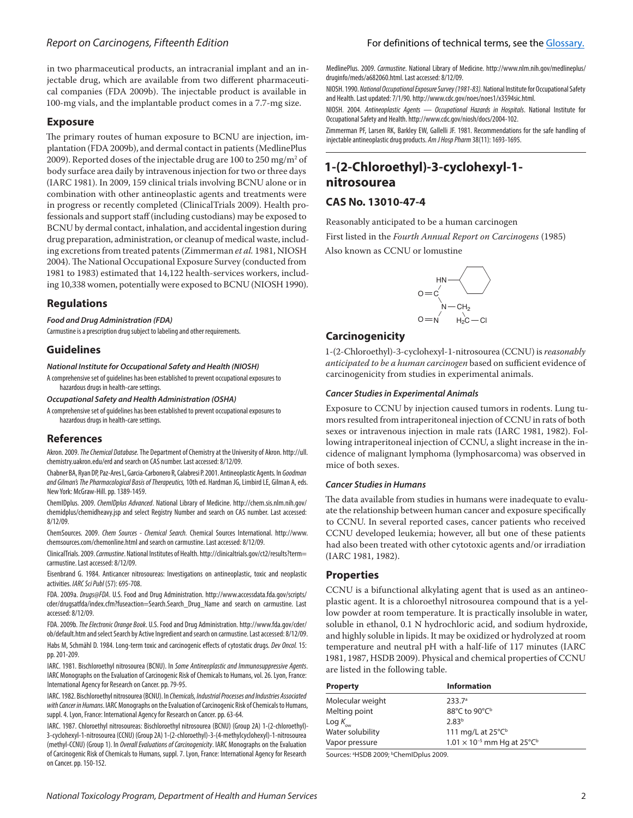# *Report on Carcinogens, F*ifteenth *Edition*

in two pharmaceutical products, an intracranial implant and an injectable drug, which are available from two different pharmaceutical companies (FDA 2009b). The injectable product is available in 100-mg vials, and the implantable product comes in a 7.7-mg size.

#### **Exposure**

The primary routes of human exposure to BCNU are injection, implantation (FDA 2009b), and dermal contact in patients (MedlinePlus 2009). Reported doses of the injectable drug are 100 to 250 mg/m $^{\rm 2}$  of body surface area daily by intravenous injection for two or three days (IARC 1981). In 2009, 159 clinical trials involving BCNU alone or in combination with other antineoplastic agents and treatments were in progress or recently completed (ClinicalTrials 2009). Health professionals and support staff (including custodians) may be exposed to BCNU by dermal contact, inhalation, and accidental ingestion during drug preparation, administration, or cleanup of medical waste, including excretions from treated patents (Zimmerman *et al.* 1981, NIOSH 2004). The National Occupational Exposure Survey (conducted from 1981 to 1983) estimated that 14,122 health-services workers, including 10,338 women, potentially were exposed to BCNU (NIOSH 1990).

### **Regulations**

#### *Food and Drug Administration (FDA)*

Carmustine is a prescription drug subject to labeling and other requirements.

## **Guidelines**

*National Institute for Occupational Safety and Health (NIOSH)*

A comprehensive set of guidelines has been established to prevent occupational exposures to hazardous drugs in health-care settings.

*Occupational Safety and Health Administration (OSHA)*

A comprehensive set of guidelines has been established to prevent occupational exposures to hazardous drugs in health-care settings.

## **References**

Akron. 2009. *The Chemical Database.* The Department of Chemistry at the University of Akron. http://ull. chemistry.uakron.edu/erd and search on CAS number. Last accessed: 8/12/09.

Chabner BA, Ryan DP, Paz-Ares L, Garcia-Carbonero R, Calabresi P. 2001. Antineoplastic Agents. In *Goodman and Gilman's The Pharmacological Basis of Therapeutics,* 10th ed. Hardman JG, Limbird LE, Gilman A, eds. New York: McGraw-Hill.pp. 1389-1459.

ChemIDplus. 2009. *ChemIDplus Advanced*. National Library of Medicine. http://chem.sis.nlm.nih.gov/ chemidplus/chemidheavy.jsp and select Registry Number and search on CAS number. Last accessed: 8/12/09.

ChemSources. 2009. *Chem Sources - Chemical Search.* Chemical Sources International. http://www. chemsources.com/chemonline.html and search on carmustine. Last accessed: 8/12/09.

ClinicalTrials. 2009. *Carmustine*. National Institutes of Health. http://clinicaltrials.gov/ct2/results?term= carmustine. Last accessed: 8/12/09.

Eisenbrand G. 1984. Anticancer nitrosoureas: Investigations on antineoplastic, toxic and neoplastic activities. *IARC Sci Publ* (57): 695-708.

FDA. 2009a. *Drugs@FDA*. U.S. Food and Drug Administration. http://www.accessdata.fda.gov/scripts/ cder/drugsatfda/index.cfm?fuseaction=Search.Search\_Drug\_Name and search on carmustine. Last accessed: 8/12/09.

FDA. 2009b. *The Electronic Orange Book*. U.S. Food and Drug Administration. http://www.fda.gov/cder/ ob/default.htm and select Search by Active Ingredient and search on carmustine. Last accessed: 8/12/09.

Habs M, Schmähl D. 1984. Long-term toxic and carcinogenic effects of cytostatic drugs. *Dev Oncol.* 15: pp. 201-209.

IARC. 1981. Bischloroethyl nitrosourea (BCNU). In *Some Antineoplastic and Immunosuppressive Agents*. IARC Monographs on the Evaluation of Carcinogenic Risk of Chemicals to Humans, vol. 26. Lyon, France: International Agency for Research on Cancer.pp. 79-95.

IARC. 1982. Bischloroethyl nitrosourea (BCNU). In *Chemicals, Industrial Processes and Industries Associated with Cancer in Humans*. IARC Monographs on the Evaluation of Carcinogenic Risk of Chemicals to Humans, suppl. 4. Lyon, France: International Agency for Research on Cancer. pp. 63-64.

IARC. 1987. Chloroethyl nitrosoureas: Bischloroethyl nitrosourea (BCNU) (Group 2A) 1-(2-chloroethyl)- 3-cyclohexyl-1-nitrosourea (CCNU) (Group 2A) 1-(2-chloroethyl)-3-(4-methylcyclohexyl)-1-nitrosourea (methyl-CCNU) (Group 1). In *Overall Evaluations of Carcinogenicity*. IARC Monographs on the Evaluation of Carcinogenic Risk of Chemicals to Humans, suppl. 7. Lyon, France: International Agency for Research on Cancer.pp. 150-152.

#### For definitions of technical terms, see the [Glossary.](https://ntp.niehs.nih.gov/ntp/roc/content/glossary_508.pdf)

MedlinePlus. 2009. *Carmustine*. National Library of Medicine. http://www.nlm.nih.gov/medlineplus/ druginfo/meds/a682060.html. Last accessed: 8/12/09.

NIOSH. 1990. *National Occupational Exposure Survey (1981-83).* National Institute for Occupational Safety and Health. Last updated: 7/1/90. http://www.cdc.gov/noes/noes1/x3594sic.html.

NIOSH. 2004. *Antineoplastic Agents — Occupational Hazards in Hospitals*. National Institute for Occupational Safety and Health. http://www.cdc.gov/niosh/docs/2004-102.

Zimmerman PF, Larsen RK, Barkley EW, Gallelli JF. 1981. Recommendations for the safe handling of injectable antineoplastic drug products. *Am J Hosp Pharm* 38(11): 1693-1695.

# **1-(2-Chloroethyl)-3-cyclohexyl-1 nitrosourea**

# **CAS No. 13010-47-4**

Reasonably anticipated to be a human carcinogen

First listed in the *Fourth Annual Report on Carcinogens* (1985)

Also known as CCNU or lomustine



# **Carcinogenicity**

1‑(2-Chloroethyl)-3-cyclohexyl-1-nitrosourea (CCNU) is *reasonably anticipated to be a human carcinogen* based on sufficient evidence of carcinogenicity from studies in experimental animals.

#### *Cancer Studies in Experimental Animals*

Exposure to CCNU by injection caused tumors in rodents. Lung tumors resulted from intraperitoneal injection of CCNU in rats of both sexes or intravenous injection in male rats (IARC 1981, 1982). Following intraperitoneal injection of CCNU, a slight increase in the incidence of malignant lymphoma (lymphosarcoma) was observed in mice of both sexes.

#### *Cancer Studies in Humans*

The data available from studies in humans were inadequate to evaluate the relationship between human cancer and exposure specifically to CCNU. In several reported cases, cancer patients who received CCNU developed leukemia; however, all but one of these patients had also been treated with other cytotoxic agents and/or irradiation (IARC 1981, 1982).

#### **Properties**

CCNU is a bifunctional alkylating agent that is used as an antineoplastic agent. It is a chloroethyl nitrosourea compound that is a yellow powder at room temperature. It is practically insoluble in water, soluble in ethanol, 0.1 N hydrochloric acid, and sodium hydroxide, and highly soluble in lipids. It may be oxidized or hydrolyzed at room temperature and neutral pH with a half-life of 117 minutes (IARC 1981, 1987, HSDB 2009). Physical and chemical properties of CCNU are listed in the following table.

| <b>Property</b>      | <b>Information</b>                               |
|----------------------|--------------------------------------------------|
| Molecular weight     | 233.7 <sup>a</sup>                               |
| Melting point        | 88°C to 90°C <sup>b</sup>                        |
| Log $K_{_{\rm{ow}}}$ | 2.83 <sup>b</sup>                                |
| Water solubility     | 111 mg/L at $25^{\circ}C^{\circ}$                |
| Vapor pressure       | $1.01 \times 10^{-5}$ mm Hg at 25°C <sup>b</sup> |

Sources: <sup>a</sup>HSDB 2009; <sup>b</sup>ChemIDplus 2009.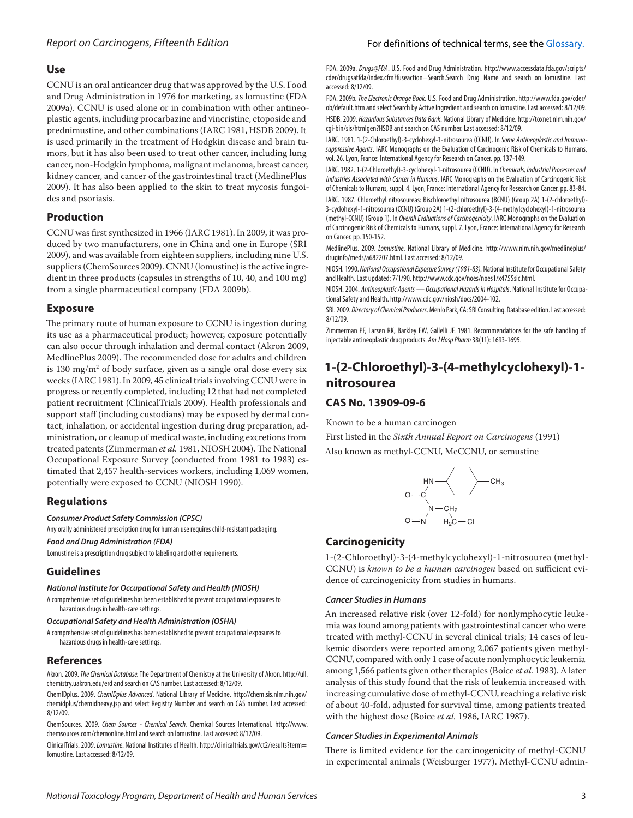### **Use**

CCNU is an oral anticancer drug that was approved by the U.S. Food and Drug Administration in 1976 for marketing, as lomustine (FDA 2009a). CCNU is used alone or in combination with other antineoplastic agents, including procarbazine and vincristine, etoposide and prednimustine, and other combinations (IARC 1981, HSDB 2009). It is used primarily in the treatment of Hodgkin disease and brain tumors, but it has also been used to treat other cancer, including lung cancer, non-Hodgkin lymphoma, malignant melanoma, breast cancer, kidney cancer, and cancer of the gastrointestinal tract (MedlinePlus 2009). It has also been applied to the skin to treat mycosis fungoides and psoriasis.

## **Production**

CCNU was first synthesized in 1966 (IARC 1981). In 2009, it was produced by two manufacturers, one in China and one in Europe (SRI 2009), and was available from eighteen suppliers, including nine U.S. suppliers (ChemSources 2009). CNNU (lomustine) is the active ingredient in three products (capsules in strengths of 10, 40, and 100 mg) from a single pharmaceutical company (FDA 2009b).

#### **Exposure**

The primary route of human exposure to CCNU is ingestion during its use as a pharmaceutical product; however, exposure potentially can also occur through inhalation and dermal contact (Akron 2009, MedlinePlus 2009). The recommended dose for adults and children is 130 mg/m $^2$  of body surface, given as a single oral dose every six weeks (IARC 1981). In 2009, 45 clinical trials involving CCNU were in progress or recently completed, including 12 that had not completed patient recruitment (ClinicalTrials 2009). Health professionals and support staff (including custodians) may be exposed by dermal contact, inhalation, or accidental ingestion during drug preparation, administration, or cleanup of medical waste, including excretions from treated patents (Zimmerman *et al.* 1981, NIOSH 2004). The National Occupational Exposure Survey (conducted from 1981 to 1983) es‑ timated that 2,457 health-services workers, including 1,069 women, potentially were exposed to CCNU (NIOSH 1990).

## **Regulations**

*Consumer Product Safety Commission (CPSC)*

Any orally administered prescription drug for human use requires child-resistant packaging.

*Food and Drug Administration (FDA)*

Lomustine is a prescription drug subject to labeling and other requirements.

## **Guidelines**

#### *National Institute for Occupational Safety and Health (NIOSH)*

A comprehensive set of guidelines has been established to prevent occupational exposures to hazardous drugs in health-care settings.

#### *Occupational Safety and Health Administration (OSHA)*

A comprehensive set of guidelines has been established to prevent occupational exposures to hazardous drugs in health-care settings.

### **References**

Akron. 2009. *The Chemical Database.* The Department of Chemistry at the University of Akron. http://ull. chemistry.uakron.edu/erd and search on CAS number. Last accessed: 8/12/09.

ChemIDplus. 2009. *ChemIDplus Advanced*. National Library of Medicine. http://chem.sis.nlm.nih.gov/ chemidplus/chemidheavy.jsp and select Registry Number and search on CAS number. Last accessed: 8/12/09.

ChemSources. 2009. *Chem Sources - Chemical Search.* Chemical Sources International. http://www. chemsources.com/chemonline.html and search on lomustine. Last accessed: 8/12/09.

ClinicalTrials. 2009. *Lomustine*. National Institutes of Health. http://clinicaltrials.gov/ct2/results?term= lomustine. Last accessed: 8/12/09.

#### For definitions of technical terms, see the [Glossary.](https://ntp.niehs.nih.gov/ntp/roc/content/glossary_508.pdf)

FDA. 2009a. *Drugs@FDA*. U.S. Food and Drug Administration. http://www.accessdata.fda.gov/scripts/ cder/drugsatfda/index.cfm?fuseaction=Search.Search\_Drug\_Name and search on lomustine. Last accessed: 8/12/09.

FDA. 2009b. *The Electronic Orange Book*. U.S. Food and Drug Administration. http://www.fda.gov/cder/ ob/default.htm and select Search by Active Ingredient and search on lomustine. Last accessed: 8/12/09. HSDB. 2009. *Hazardous Substances Data Bank*. National Library of Medicine. http://toxnet.nlm.nih.gov/ cgi-bin/sis/htmlgen?HSDB and search on CAS number. Last accessed: 8/12/09.

IARC. 1981. 1-(2-Chloroethyl)-3-cyclohexyl-1-nitrosourea (CCNU). In *Some Antineoplastic and Immunosuppressive Agents*. IARC Monographs on the Evaluation of Carcinogenic Risk of Chemicals to Humans, vol. 26. Lyon, France: International Agency for Research on Cancer.pp. 137-149.

IARC. 1982. 1-(2-Chloroethyl)-3-cyclohexyl-1-nitrosourea (CCNU). In *Chemicals, Industrial Processes and Industries Associated with Cancer in Humans*. IARC Monographs on the Evaluation of Carcinogenic Risk of Chemicals to Humans, suppl. 4. Lyon, France: International Agency for Research on Cancer. pp. 83-84. IARC. 1987. Chloroethyl nitrosoureas: Bischloroethyl nitrosourea (BCNU) (Group 2A) 1-(2-chloroethyl)- 3-cyclohexyl-1-nitrosourea (CCNU) (Group 2A) 1-(2-chloroethyl)-3-(4-methylcyclohexyl)-1-nitrosourea (methyl-CCNU) (Group 1). In *Overall Evaluations of Carcinogenicity*. IARC Monographs on the Evaluation of Carcinogenic Risk of Chemicals to Humans, suppl. 7. Lyon, France: International Agency for Research on Cancer.pp. 150-152.

MedlinePlus. 2009. *Lomustine*. National Library of Medicine. http://www.nlm.nih.gov/medlineplus/ druginfo/meds/a682207.html. Last accessed: 8/12/09.

NIOSH. 1990. *National Occupational Exposure Survey (1981-83).* National Institute for Occupational Safety and Health. Last updated: 7/1/90. http://www.cdc.gov/noes/noes1/x4755sic.html.

NIOSH. 2004. *Antineoplastic Agents — Occupational Hazards in Hospitals*. National Institute for Occupational Safety and Health. http://www.cdc.gov/niosh/docs/2004-102.

SRI. 2009. *Directory of Chemical Producers*. Menlo Park, CA: SRI Consulting. Database edition. Last accessed: 8/12/09.

Zimmerman PF, Larsen RK, Barkley EW, Gallelli JF. 1981. Recommendations for the safe handling of injectable antineoplastic drug products. *Am J Hosp Pharm* 38(11): 1693-1695.

# **1-(2-Chloroethyl)-3-(4-methylcyclohexyl)-1 nitrosourea**

## **CAS No. 13909-09-6**

Known to be a human carcinogen

First listed in the *Sixth Annual Report on Carcinogens* (1991) Also known as methyl-CCNU, MeCCNU, or semustine



## **Carcinogenicity**

1-(2-Chloroethyl)-3-(4-methylcyclohexyl)-1-nitrosourea (methyl-CCNU) is *known to be a human carcinogen* based on sufficient evidence of carcinogenicity from studies in humans.

#### *Cancer Studies in Humans*

An increased relative risk (over 12-fold) for nonlymphocytic leukemia was found among patients with gastrointestinal cancer who were treated with methyl-CCNU in several clinical trials; 14 cases of leukemic disorders were reported among 2,067 patients given methyl-CCNU, compared with only 1 case of acute nonlymphocytic leukemia among 1,566 patients given other therapies (Boice *et al.* 1983). A later analysis of this study found that the risk of leukemia increased with increasing cumulative dose of methyl-CCNU, reaching a relative risk of about 40-fold, adjusted for survival time, among patients treated with the highest dose (Boice *et al.* 1986, IARC 1987).

#### *Cancer Studies in Experimental Animals*

There is limited evidence for the carcinogenicity of methyl-CCNU in experimental animals (Weisburger 1977). Methyl-CCNU admin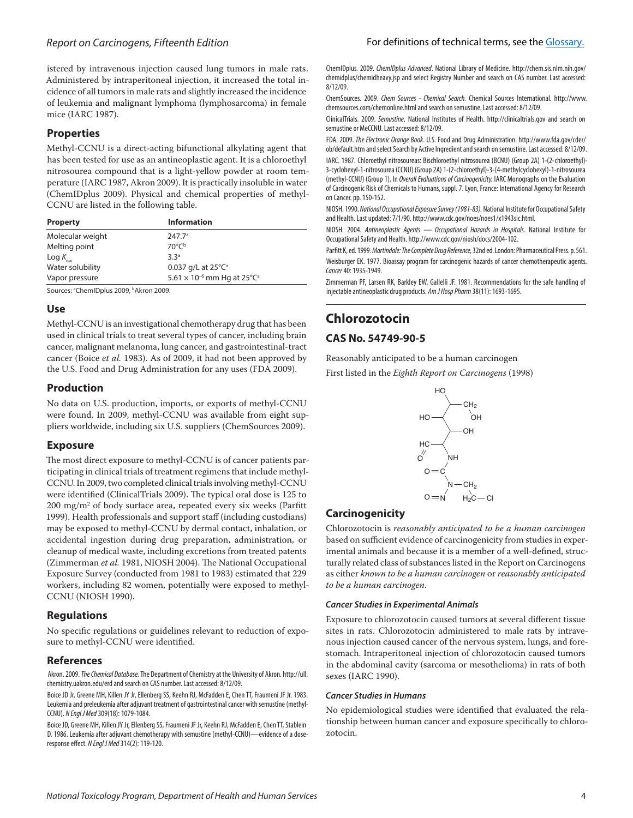istered by intravenous injection caused lung tumors in male rats. Administered by intraperitoneal injection, it increased the total incidence of all tumors in male rats and slightly increased the incidence of leukemia and malignant lymphoma (lymphosarcoma) in female mice (IARC 1987).

## **Properties**

Methyl-CCNU is a direct-acting bifunctional alkylating agent that has been tested for use as an antineoplastic agent. It is a chloroethyl nitrosourea compound that is a light-yellow powder at room temperature (IARC 1987, Akron 2009). It is practically insoluble in water (ChemIDplus 2009). Physical and chemical properties of methyl-CCNU are listed in the following table.

| <b>Property</b>      | <b>Information</b>                               |
|----------------------|--------------------------------------------------|
| Molecular weight     | 247.7 <sup>a</sup>                               |
| Melting point        | $70^{\circ}C^{\circ}$                            |
| Log $K_{_{\rm{ow}}}$ | 3.3 <sup>a</sup>                                 |
| Water solubility     | 0.037 g/L at $25^{\circ}C^{\circ}$               |
| Vapor pressure       | $5.61 \times 10^{-6}$ mm Hg at 25°C <sup>a</sup> |

Sources: ªChemIDplus 2009, bAkron 2009.

### **Use**

Methyl-CCNU is an investigational chemotherapy drug that has been used in clinical trials to treat several types of cancer, including brain cancer, malignant melanoma, lung cancer, and gastrointestinal-tract cancer (Boice *et al.* 1983). As of 2009, it had not been approved by the U.S. Food and Drug Administration for any uses (FDA 2009).

## **Production**

No data on U.S. production, imports, or exports of methyl-CCNU were found. In 2009, methyl-CCNU was available from eight suppliers worldwide, including six U.S. suppliers (ChemSources 2009).

#### **Exposure**

The most direct exposure to methyl-CCNU is of cancer patients participating in clinical trials of treatment regimens that include methyl-CCNU. In 2009, two completed clinical trials involving methyl-CCNU were identified (ClinicalTrials 2009). The typical oral dose is 125 to 200 mg/m2 of body surface area, repeated every six weeks (Parfitt 1999). Health professionals and support staff (including custodians) may be exposed to methyl-CCNU by dermal contact, inhalation, or accidental ingestion during drug preparation, administration, or cleanup of medical waste, including excretions from treated patents (Zimmerman *et al.* 1981, NIOSH 2004). The National Occupational Exposure Survey (conducted from 1981 to 1983) estimated that 229 workers, including 82 women, potentially were exposed to methyl-CCNU (NIOSH 1990).

## **Regulations**

No specific regulations or guidelines relevant to reduction of exposure to methyl-CCNU were identified.

### **References**

 Akron. 2009. *The Chemical Database.* The Department of Chemistry at the University of Akron. http://ull. chemistry.uakron.edu/erd and search on CAS number. Last accessed: 8/12/09.

Boice JD Jr, Greene MH, Killen JY Jr, Ellenberg SS, Keehn RJ, McFadden E, Chen TT, Fraumeni JF Jr. 1983. Leukemia and preleukemia after adjuvant treatment of gastrointestinal cancer with semustine (methyl-CCNU). *N Engl J Med* 309(18): 1079-1084.

Boice JD, Greene MH, Killen JY Jr, Ellenberg SS, Fraumeni JF Jr, Keehn RJ, McFadden E, Chen TT, Stablein D. 1986. Leukemia after adjuvant chemotherapy with semustine (methyl-CCNU)—evidence of a doseresponse effect. *N Engl J Med* 314(2): 119-120.

ChemIDplus. 2009. *ChemIDplus Advanced*. National Library of Medicine. http://chem.sis.nlm.nih.gov/ chemidplus/chemidheavy.jsp and select Registry Number and search on CAS number. Last accessed: 8/12/09.

ChemSources. 2009. *Chem Sources - Chemical Search.* Chemical Sources International. http://www. chemsources.com/chemonline.html and search on semustine. Last accessed: 8/12/09.

ClinicalTrials. 2009. *Semustine*. National Institutes of Health. http://clinicaltrials.gov and search on semustine or MeCCNU. Last accessed: 8/12/09.

FDA. 2009. *The Electronic Orange Book*. U.S. Food and Drug Administration. http://www.fda.gov/cder/ ob/default.htm and select Search by Active Ingredient and search on semustine. Last accessed: 8/12/09.

IARC. 1987. Chloroethyl nitrosoureas: Bischloroethyl nitrosourea (BCNU) (Group 2A) 1-(2-chloroethyl)- 3-cyclohexyl-1-nitrosourea (CCNU) (Group 2A) 1-(2-chloroethyl)-3-(4-methylcyclohexyl)-1-nitrosourea (methyl-CCNU) (Group 1). In *Overall Evaluations of Carcinogenicity.* IARC Monographs on the Evaluation of Carcinogenic Risk of Chemicals to Humans, suppl. 7. Lyon, France: International Agency for Research on Cancer. pp. 150-152.

NIOSH. 1990. *National Occupational Exposure Survey (1981-83).* National Institute for Occupational Safety and Health. Last updated: 7/1/90. http://www.cdc.gov/noes/noes1/x1943sic.html.

NIOSH. 2004. *Antineoplastic Agents — Occupational Hazards in Hospitals*. National Institute for Occupational Safety and Health. http://www.cdc.gov/niosh/docs/2004-102.

Parfitt K, ed. 1999. *Martindale: The Complete Drug Reference,* 32nd ed. London: Pharmaceutical Press. p. 561. Weisburger EK. 1977. Bioassay program for carcinogenic hazards of cancer chemotherapeutic agents. *Cancer* 40: 1935-1949.

Zimmerman PF, Larsen RK, Barkley EW, Gallelli JF. 1981. Recommendations for the safe handling of injectable antineoplastic drug products. *Am J Hosp Pharm* 38(11): 1693-1695.

# **Chlorozotocin**

# **CAS No. 54749-90-5**

Reasonably anticipated to be a human carcinogen First listed in the *Eighth Report on Carcinogens* (1998)



# **Carcinogenicity**

Chlorozotocin is *reasonably anticipated to be a human carcinogen* based on sufficient evidence of carcinogenicity from studies in experimental animals and because it is a member of a well-defined, structurally related class of substances listed in the Report on Carcinogens as either *known to be a human carcinogen* or *reasonably anticipated to be a human carcinogen*.

#### *Cancer Studies in Experimental Animals*

Exposure to chlorozotocin caused tumors at several different tissue sites in rats. Chlorozotocin administered to male rats by intravenous injection caused cancer of the nervous system, lungs, and forestomach. Intraperitoneal injection of chlorozotocin caused tumors in the abdominal cavity (sarcoma or mesothelioma) in rats of both sexes (IARC 1990).

#### *Cancer Studies in Humans*

No epidemiological studies were identified that evaluated the relationship between human cancer and exposure specifically to chlorozotocin.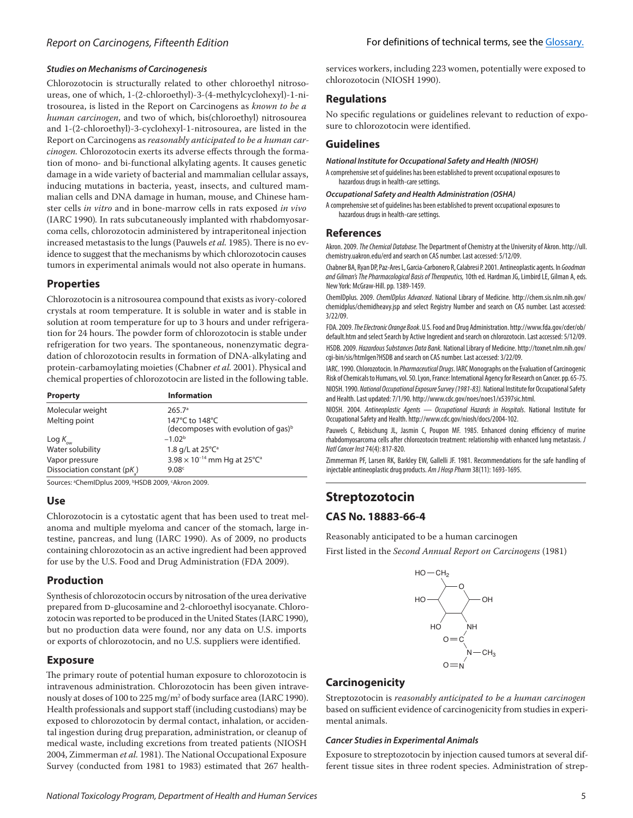## *Studies on Mechanisms of Carcinogenesis*

Chlorozotocin is structurally related to other chloroethyl nitrosoureas, one of which, 1-(2-chloroethyl)-3-(4-methylcyclohexyl)-1-nitrosourea, is listed in the Report on Carcinogens as *known to be a human carcinogen*, and two of which, bis(chloroethyl) nitrosourea and 1‑(2-chloroethyl)-3-cyclohexyl-1-nitrosourea, are listed in the Report on Carcinogens as *reasonably anticipated to be a human car*cinogen. Chlorozotocin exerts its adverse effects through the formation of mono- and bi-functional alkylating agents. It causes genetic damage in a wide variety of bacterial and mammalian cellular assays, inducing mutations in bacteria, yeast, insects, and cultured mammalian cells and DNA damage in human, mouse, and Chinese hamster cells *in vitro* and in bone-marrow cells in rats exposed *in vivo*  (IARC 1990)*.* In rats subcutaneously implanted with rhabdomyosar‑ coma cells, chlorozotocin administered by intraperitoneal injection increased metastasis to the lungs (Pauwels et al. 1985). There is no evidence to suggest that the mechanisms by which chlorozotocin causes tumors in experimental animals would not also operate in humans.

## **Properties**

Chlorozotocin is a nitrosourea compound that exists as ivory-colored crystals at room temperature. It is soluble in water and is stable in solution at room temperature for up to 3 hours and under refrigeration for 24 hours. The powder form of chlorozotocin is stable under refrigeration for two years. The spontaneous, nonenzymatic degradation of chlorozotocin results in formation of DNA-alkylating and protein-carbamoylating moieties (Chabner *et al.* 2001). Physical and chemical properties of chlorozotocin are listed in the following table.

| <b>Property</b>            | <b>Information</b>                                                |
|----------------------------|-------------------------------------------------------------------|
| Molecular weight           | 265.7 <sup>a</sup>                                                |
| Melting point              | 147°C to 148°C<br>(decomposes with evolution of gas) <sup>b</sup> |
| Log $K_{_{\rm{ow}}}$       | $-1.02b$                                                          |
| Water solubility           | 1.8 g/L at $25^{\circ}C^{\circ}$                                  |
| Vapor pressure             | 3.98 $\times$ 10 <sup>-14</sup> mm Hg at 25°C <sup>a</sup>        |
| Dissociation constant (pK) | 9.08 <sup>c</sup>                                                 |

Sources: <sup>a</sup>ChemIDplus 2009, <sup>b</sup>HSDB 2009, 'Akron 2009.

## **Use**

Chlorozotocin is a cytostatic agent that has been used to treat melanoma and multiple myeloma and cancer of the stomach, large intestine, pancreas, and lung (IARC 1990). As of 2009, no products containing chlorozotocin as an active ingredient had been approved for use by the U.S. Food and Drug Administration (FDA 2009).

# **Production**

Synthesis of chlorozotocin occurs by nitrosation of the urea derivative prepared from D-glucosamine and 2-chloroethyl isocyanate. Chlorozotocin was reported to be produced in the United States (IARC 1990), but no production data were found, nor any data on U.S. imports or exports of chlorozotocin, and no U.S. suppliers were identified.

# **Exposure**

The primary route of potential human exposure to chlorozotocin is intravenous administration. Chlorozotocin has been given intravenously at doses of 100 to 225 mg/m<sup>2</sup> of body surface area (IARC 1990). Health professionals and support staff (including custodians) may be exposed to chlorozotocin by dermal contact, inhalation, or accidental ingestion during drug preparation, administration, or cleanup of medical waste, including excretions from treated patients (NIOSH 2004, Zimmerman *et al.* 1981). The National Occupational Exposure Survey (conducted from 1981 to 1983) estimated that 267 healthservices workers, including 223 women, potentially were exposed to chlorozotocin (NIOSH 1990).

# **Regulations**

No specific regulations or guidelines relevant to reduction of exposure to chlorozotocin were identified.

# **Guidelines**

*National Institute for Occupational Safety and Health (NIOSH)*

A comprehensive set of guidelines has been established to prevent occupational exposures to hazardous drugs in health-care settings.

#### *Occupational Safety and Health Administration (OSHA)*

A comprehensive set of guidelines has been established to prevent occupational exposures to hazardous drugs in health-care settings.

## **References**

Akron. 2009. *The Chemical Database.* The Department of Chemistry at the University of Akron. http://ull. chemistry.uakron.edu/erd and search on CAS number. Last accessed: 5/12/09.

Chabner BA, Ryan DP, Paz-Ares L, Garcia-Carbonero R, Calabresi P. 2001. Antineoplastic agents. In *Goodman and Gilman's The Pharmacological Basis of Therapeutics,* 10th ed. Hardman JG, Limbird LE, Gilman A, eds. New York: McGraw-Hill.pp. 1389-1459.

ChemIDplus. 2009. *ChemIDplus Advanced*. National Library of Medicine. http://chem.sis.nlm.nih.gov/ chemidplus/chemidheavy.jsp and select Registry Number and search on CAS number. Last accessed: 3/22/09.

FDA. 2009. *The Electronic Orange Book*. U.S. Food and Drug Administration. http://www.fda.gov/cder/ob/ default.htm and select Search by Active Ingredient and search on chlorozotocin. Last accessed: 5/12/09. HSDB. 2009. *Hazardous Substances Data Bank.* National Library of Medicine. http://toxnet.nlm.nih.gov/ cgi-bin/sis/htmlgen?HSDB and search on CAS number. Last accessed: 3/22/09.

IARC. 1990. Chlorozotocin. In *Pharmaceutical Drugs*. IARC Monographs on the Evaluation of Carcinogenic Risk of Chemicals to Humans, vol. 50. Lyon, France: International Agency for Research on Cancer.pp. 65-75.

NIOSH. 1990. *National Occupational Exposure Survey (1981-83).* National Institute for Occupational Safety and Health. Last updated: 7/1/90. http://www.cdc.gov/noes/noes1/x5397sic.html.

NIOSH. 2004. *Antineoplastic Agents — Occupational Hazards in Hospitals*. National Institute for Occupational Safety and Health. http://www.cdc.gov/niosh/docs/2004-102.

Pauwels C, Rebischung JL, Jasmin C, Poupon MF. 1985. Enhanced cloning efficiency of murine rhabdomyosarcoma cells after chlorozotocin treatment: relationship with enhanced lung metastasis. *J Natl Cancer Inst* 74(4): 817-820.

Zimmerman PF, Larsen RK, Barkley EW, Gallelli JF. 1981. Recommendations for the safe handling of injectable antineoplastic drug products. *Am J Hosp Pharm* 38(11): 1693-1695.

# **Streptozotocin**

# **CAS No. 18883-66-4**

Reasonably anticipated to be a human carcinogen First listed in the *Second Annual Report on Carcinogens* (1981)



# **Carcinogenicity**

Streptozotocin is *reasonably anticipated to be a human carcinogen* based on sufficient evidence of carcinogenicity from studies in experimental animals.

#### *Cancer Studies in Experimental Animals*

Exposure to streptozotocin by injection caused tumors at several different tissue sites in three rodent species. Administration of strep-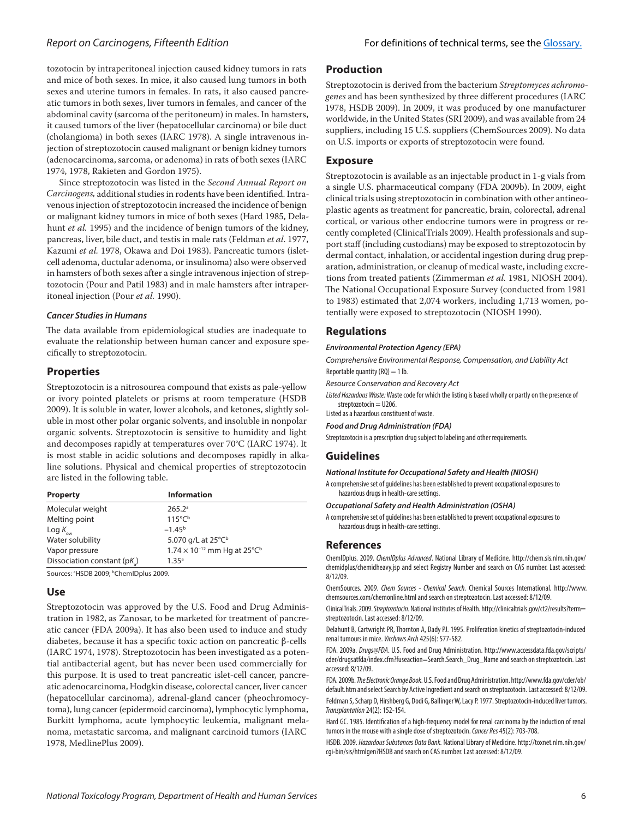## *Report on Carcinogens, F*ifteenth *Edition*

tozotocin by intraperitoneal injection caused kidney tumors in rats and mice of both sexes. In mice, it also caused lung tumors in both sexes and uterine tumors in females. In rats, it also caused pancreatic tumors in both sexes, liver tumors in females, and cancer of the abdominal cavity (sarcoma of the peritoneum) in males. In hamsters, it caused tumors of the liver (hepatocellular carcinoma) or bile duct (cholangioma) in both sexes (IARC 1978). A single intravenous in‑ jection of streptozotocin caused malignant or benign kidney tumors (adenocarcinoma, sarcoma, or adenoma) in rats of both sexes (IARC 1974, 1978, Rakieten and Gordon 1975).

Since streptozotocin was listed in the *Second Annual Report on Carcinogens,* additional studies in rodents have been identified. Intra‑ venous injection of streptozotocin increased the incidence of benign or malignant kidney tumors in mice of both sexes (Hard 1985, Delahunt *et al.* 1995) and the incidence of benign tumors of the kidney, pancreas, liver, bile duct, and testis in male rats (Feldman *et al*. 1977, Kazumi *et al.* 1978, Okawa and Doi 1983). Pancreatic tumors (isletcell adenoma, ductular adenoma, or insulinoma) also were observed in hamsters of both sexes after a single intravenous injection of streptozotocin (Pour and Patil 1983) and in male hamsters after intraperitoneal injection (Pour *et al.* 1990).

#### *Cancer Studies in Humans*

The data available from epidemiological studies are inadequate to evaluate the relationship between human cancer and exposure specifically to streptozotocin.

### **Properties**

Streptozotocin is a nitrosourea compound that exists as pale-yellow or ivory pointed platelets or prisms at room temperature (HSDB 2009). It is soluble in water, lower alcohols, and ketones, slightly soluble in most other polar organic solvents, and insoluble in nonpolar organic solvents. Streptozotocin is sensitive to humidity and light and decomposes rapidly at temperatures over 70°C (IARC 1974). It is most stable in acidic solutions and decomposes rapidly in alkaline solutions. Physical and chemical properties of streptozotocin are listed in the following table.

| <b>Property</b>            | <b>Information</b>                                |
|----------------------------|---------------------------------------------------|
| Molecular weight           | 265.2 <sup>a</sup>                                |
| Melting point              | $115^{\circ}C^{\circ}$                            |
| Log $K_{_{\rm{ow}}}$       | $-1.45^{\rm b}$                                   |
| Water solubility           | 5.070 g/L at 25°C <sup>b</sup>                    |
| Vapor pressure             | $1.74 \times 10^{-12}$ mm Hg at 25°C <sup>b</sup> |
| Dissociation constant (pK) | 1.35 <sup>a</sup>                                 |

Sources: <sup>a</sup>HSDB 2009; <sup>b</sup>ChemIDplus 2009.

### **Use**

Streptozotocin was approved by the U.S. Food and Drug Administration in 1982, as Zanosar, to be marketed for treatment of pancreatic cancer (FDA 2009a). It has also been used to induce and study diabetes, because it has a specific toxic action on pancreatic β-cells (IARC 1974, 1978). Streptozotocin has been investigated as a potential antibacterial agent, but has never been used commercially for this purpose. It is used to treat pancreatic islet-cell cancer, pancreatic adenocarcinoma, Hodgkin disease, colorectal cancer, liver cancer (hepatocellular carcinoma), adrenal-gland cancer (pheochromocytoma), lung cancer (epidermoid carcinoma), lymphocytic lymphoma, Burkitt lymphoma, acute lymphocytic leukemia, malignant melanoma, metastatic sarcoma, and malignant carcinoid tumors (IARC 1978, MedlinePlus 2009).

## **Production**

Streptozotocin is derived from the bacterium *Streptomyces achromogenes* and has been synthesized by three different procedures (IARC 1978, HSDB 2009). In 2009, it was produced by one manufacturer worldwide, in the United States (SRI 2009), and was available from 24 suppliers, including 15 U.S. suppliers (ChemSources 2009). No data on U.S. imports or exports of streptozotocin were found.

## **Exposure**

Streptozotocin is available as an injectable product in 1-g vials from a single U.S. pharmaceutical company (FDA 2009b). In 2009, eight clinical trials using streptozotocin in combination with other antineoplastic agents as treatment for pancreatic, brain, colorectal, adrenal cortical, or various other endocrine tumors were in progress or recently completed (ClinicalTrials 2009). Health professionals and support staff (including custodians) may be exposed to streptozotocin by dermal contact, inhalation, or accidental ingestion during drug preparation, administration, or cleanup of medical waste, including excretions from treated patients (Zimmerman *et al.* 1981, NIOSH 2004). The National Occupational Exposure Survey (conducted from 1981 to 1983) estimated that 2,074 workers, including 1,713 women, potentially were exposed to streptozotocin (NIOSH 1990).

## **Regulations**

#### *Environmental Protection Agency (EPA)*

*Comprehensive Environmental Response, Compensation, and Liability Act* Reportable quantity  $(RQ) = 1$  lb.

*Resource Conservation and Recovery Act*

*Listed Hazardous Waste:* Waste code for which the listing is based wholly or partly on the presence of streptozotocin = U206.

Listed as a hazardous constituent of waste.

*Food and Drug Administration (FDA)*

Streptozotocin is a prescription drug subject to labeling and other requirements.

## **Guidelines**

*National Institute for Occupational Safety and Health (NIOSH)*

A comprehensive set of guidelines has been established to prevent occupational exposures to hazardous drugs in health-care settings.

*Occupational Safety and Health Administration (OSHA)*

A comprehensive set of guidelines has been established to prevent occupational exposures to hazardous drugs in health-care settings.

#### **References**

ChemIDplus. 2009. *ChemIDplus Advanced*. National Library of Medicine. http://chem.sis.nlm.nih.gov/ chemidplus/chemidheavy.jsp and select Registry Number and search on CAS number. Last accessed: 8/12/09.

ChemSources. 2009. *Chem Sources - Chemical Search.* Chemical Sources International. http://www. chemsources.com/chemonline.html and search on streptozotocin. Last accessed: 8/12/09.

ClinicalTrials. 2009. *Streptozotocin*. National Institutes of Health. http://clinicaltrials.gov/ct2/results?term= streptozotocin. Last accessed: 8/12/09.

Delahunt B, Cartwright PR, Thornton A, Dady PJ. 1995. Proliferation kinetics of streptozotocin-induced renal tumours in mice. *Virchows Arch* 425(6): 577-582.

FDA. 2009a. *Drugs@FDA*. U.S. Food and Drug Administration. http://www.accessdata.fda.gov/scripts/ cder/drugsatfda/index.cfm?fuseaction=Search.Search\_Drug\_Name and search on streptozotocin. Last accessed: 8/12/09.

FDA. 2009b. *The Electronic Orange Book*. U.S. Food and Drug Administration. http://www.fda.gov/cder/ob/ default.htm and select Search by Active Ingredient and search on streptozotocin. Last accessed: 8/12/09. Feldman S, Scharp D, Hirshberg G, Dodi G, Ballinger W, Lacy P. 1977. Streptozotocin-induced liver tumors. *Transplantation* 24(2): 152-154.

Hard GC. 1985. Identification of a high-frequency model for renal carcinoma by the induction of renal tumors in the mouse with a single dose of streptozotocin. *Cancer Res* 45(2): 703-708.

HSDB. 2009. *Hazardous Substances Data Bank.* National Library of Medicine. http://toxnet.nlm.nih.gov/ cgi-bin/sis/htmlgen?HSDB and search on CAS number. Last accessed: 8/12/09.